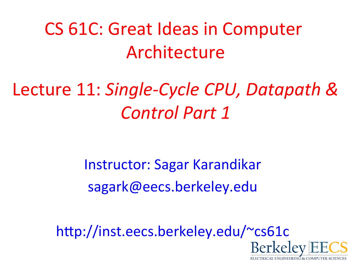CS 61C: Great Ideas in Computer Architecture

#### Lecture 11: Single-Cycle CPU, Datapath & *Control Part 1*

Instructor: Sagar Karandikar sagark@eecs.berkeley.edu

http://inst.eecs.berkeley.edu/~cs61c

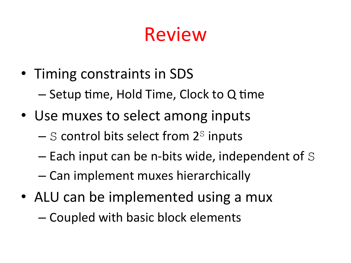## Review

- Timing constraints in SDS
	- $-$  Setup time, Hold Time, Clock to Q time
- Use muxes to select among inputs
	- $-$  S control bits select from  $2<sup>S</sup>$  inputs
	- $-$  Each input can be n-bits wide, independent of S
	- $-$  Can implement muxes hierarchically
- ALU can be implemented using a mux

– Coupled with basic block elements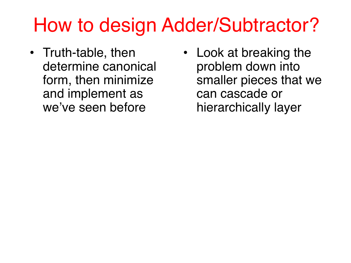## How to design Adder/Subtractor?

- Truth-table, then determine canonical form, then minimize and implement as we've seen before
- Look at breaking the problem down into smaller pieces that we can cascade or hierarchically layer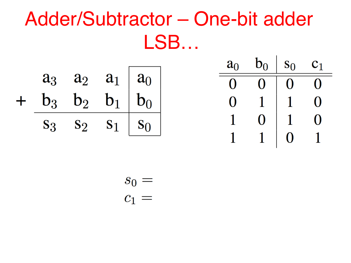#### Adder/Subtractor – One-bit adder LSB…

 $S_0$ 

 $\boldsymbol{0}$ 

 $\overline{1}$ 

 $c_1$ 

 $\overline{0}$ 

 $\begin{array}{|c|c|c|}\hline \rule{0pt}{12pt}\quad \ \ \, 0\\ \hline \rule{0pt}{12pt}\quad \ \ \, 0\\ \hline \end{array}$ 

 $\begin{bmatrix} 1 & 0 \\ 0 & 1 \end{bmatrix}$ 

|  |  |                                                                                                  | $a_0$ $b_0$ |  |
|--|--|--------------------------------------------------------------------------------------------------|-------------|--|
|  |  |                                                                                                  | $0 \quad 0$ |  |
|  |  | $\begin{array}{cccc} a_3 & a_2 & a_1 & a_0 \\ + & b_3 & b_2 & b_1 & b_0 \end{array}$             | $0 \quad 1$ |  |
|  |  | $\overline{\hspace{.2cm}S_3 \hspace{.2cm}S_2 \hspace{.2cm}S_1 \hspace{.2cm}   \hspace{.2cm}S_0}$ | $1 \quad 0$ |  |
|  |  |                                                                                                  |             |  |

$$
\begin{array}{c} s_0 = \\ c_1 = \end{array}
$$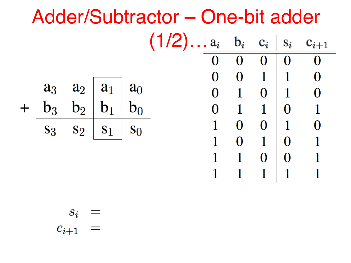| Adder/Subtractor – One-bit adder |       |                          |                |          |                                        |   |          |                |                |                |
|----------------------------------|-------|--------------------------|----------------|----------|----------------------------------------|---|----------|----------------|----------------|----------------|
|                                  |       |                          |                |          | $(1/2) \ldots a_i \quad b_i \quad c_i$ |   |          |                | $S_i$          | $c_{i+1}$      |
|                                  |       |                          |                |          |                                        |   | $\Omega$ | $\Omega$       | $\mathbf{O}$   | $\overline{0}$ |
|                                  |       |                          |                |          |                                        | 0 | 0        | $1\vert$       | $\mathbf{1}$   | $\Omega$       |
|                                  |       | $a_3 \quad a_2 \mid a_1$ |                | $a_0$    |                                        |   |          | $\Omega$       | $\mathbf{1}$   | $\overline{0}$ |
|                                  | $b_3$ | $\mathbf{b}_2$           | b <sub>1</sub> | $b_0$    |                                        |   |          | $1 \mid 0$     |                |                |
|                                  | $S_3$ | $S_2$                    | S <sub>1</sub> | $S_{()}$ |                                        |   | $\Omega$ | $0 \mid 1$     |                |                |
|                                  |       |                          |                |          |                                        |   | $\Omega$ | $\overline{1}$ | $\Omega$       |                |
|                                  |       |                          |                |          |                                        |   |          | $\overline{0}$ | $\overline{0}$ |                |
|                                  |       |                          |                |          |                                        |   |          |                | 1              |                |
|                                  |       |                          |                |          |                                        |   |          |                |                |                |

$$
\begin{array}{rcl} s_i & = \\ c_{i+1} & = \end{array}
$$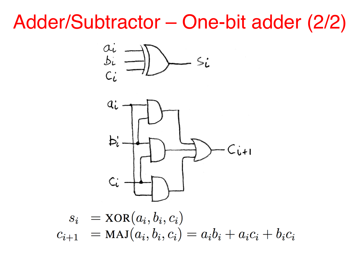#### Adder/Subtractor – One-bit adder (2/2)

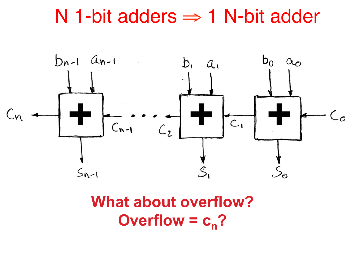#### N 1-bit adders ⇒ 1 N-bit adder



#### **What about overflow? Overflow =**  $c_n$ **?**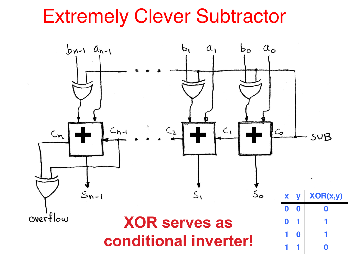#### Extremely Clever Subtractor

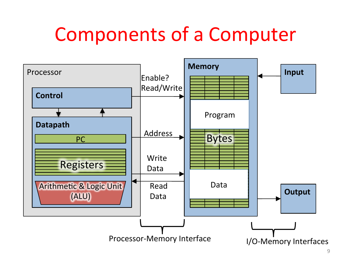## Components of a Computer

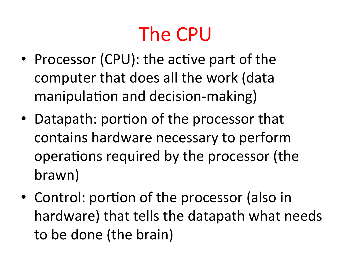# The CPU

- Processor (CPU): the active part of the computer that does all the work (data manipulation and decision-making)
- Datapath: portion of the processor that contains hardware necessary to perform operations required by the processor (the brawn)
- Control: portion of the processor (also in hardware) that tells the datapath what needs to be done (the brain)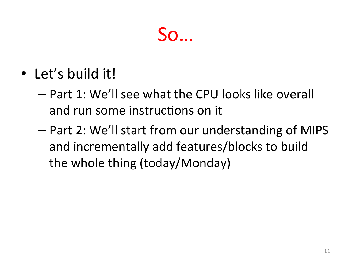#### So…

- Let's build it!
	- Part 1: We'll see what the CPU looks like overall and run some instructions on it
	- $-$  Part 2: We'll start from our understanding of MIPS and incrementally add features/blocks to build the whole thing (today/Monday)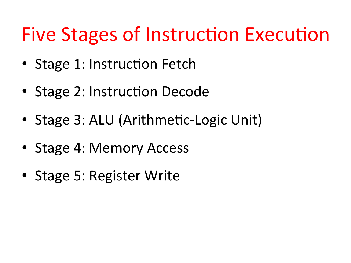## Five Stages of Instruction Execution

- Stage 1: Instruction Fetch
- Stage 2: Instruction Decode
- Stage 3: ALU (Arithmetic-Logic Unit)
- Stage 4: Memory Access
- Stage 5: Register Write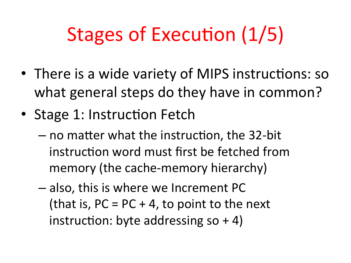# Stages of Execution (1/5)

- There is a wide variety of MIPS instructions: so what general steps do they have in common?
- Stage 1: Instruction Fetch
	- $-$  no matter what the instruction, the 32-bit instruction word must first be fetched from memory (the cache-memory hierarchy)
	- $-$  also, this is where we Increment PC (that is,  $PC = PC + 4$ , to point to the next instruction: byte addressing so  $+4$ )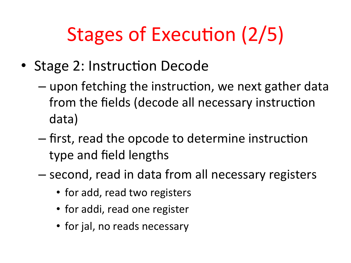# Stages of Execution (2/5)

- Stage 2: Instruction Decode
	- $-$  upon fetching the instruction, we next gather data from the fields (decode all necessary instruction data)
	- $-$  first, read the opcode to determine instruction type and field lengths
	- $-$  second, read in data from all necessary registers
		- for add, read two registers
		- for addi, read one register
		- for jal, no reads necessary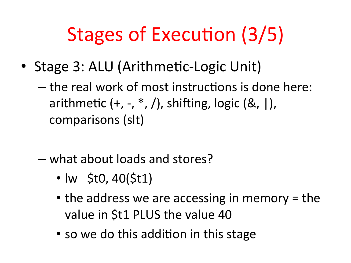# Stages of Execution (3/5)

- Stage 3: ALU (Arithmetic-Logic Unit)
	- $-$  the real work of most instructions is done here: arithmetic  $(+, -, *, /)$ , shifting, logic  $(\&, |)$ , comparisons (slt)
	- what about loads and stores?
		- lw \$t0, 40(\$t1)
		- the address we are accessing in memory  $=$  the value in \$t1 PLUS the value 40
		- so we do this addition in this stage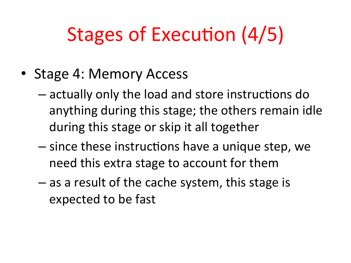# Stages of Execution (4/5)

- Stage 4: Memory Access
	- $-$  actually only the load and store instructions do anything during this stage; the others remain idle during this stage or skip it all together
	- $-$  since these instructions have a unique step, we need this extra stage to account for them
	- $-$  as a result of the cache system, this stage is expected to be fast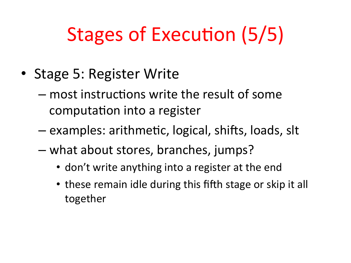# Stages of Execution (5/5)

- Stage 5: Register Write
	- $-$  most instructions write the result of some computation into a register
	- $-$  examples: arithmetic, logical, shifts, loads, slt
	- $-$  what about stores, branches, jumps?
		- don't write anything into a register at the end
		- these remain idle during this fifth stage or skip it all together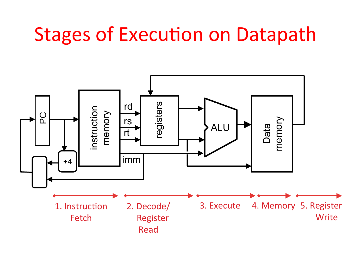#### **Stages of Execution on Datapath**

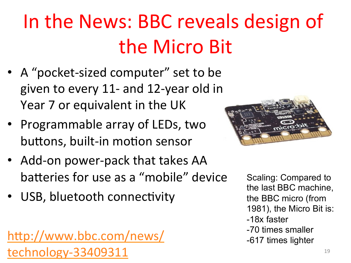# In the News: BBC reveals design of the Micro Bit

- A "pocket-sized computer" set to be given to every 11- and 12-year old in Year 7 or equivalent in the UK
- Programmable array of LEDs, two buttons, built-in motion sensor
- Add-on power-pack that takes AA batteries for use as a "mobile" device
- USB, bluetooth connectivity

http://www.bbc.com/news/  $\text{technology-}33409311$   $\hspace{1.5cm}$   $\hspace{1.5cm}$   $\hspace{1.5cm}$   $\hspace{1.5cm}$   $\hspace{1.5cm}$   $\hspace{1.5cm}$   $\hspace{1.5cm}$   $\hspace{1.5cm}$   $\hspace{1.5cm}$   $\hspace{1.5cm}$   $\hspace{1.5cm}$   $\hspace{1.5cm}$   $\hspace{1.5cm}$   $\hspace{1.5cm}$   $\hspace{1.5cm}$   $\hspace{1.5cm}$   $\hspace{1.5cm}$ 



Scaling: Compared to the last BBC machine, the BBC micro (from 1981), the Micro Bit is: -18x faster -70 times smaller -617 times lighter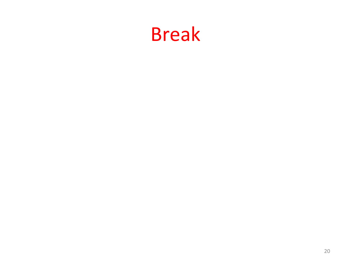#### Break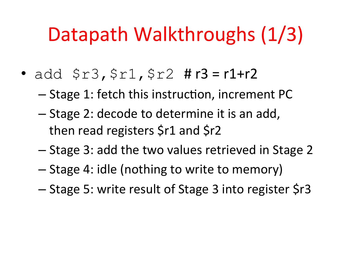## Datapath Walkthroughs (1/3)

- add  $$r3, $r1, $r2$  # $r3 = r1+r2$ 
	- Stage 1: fetch this instruction, increment PC
	- Stage 2: decode to determine it is an add, then read registers  $$r1$  and  $$r2$
	- Stage 3: add the two values retrieved in Stage 2
	- Stage 4: idle (nothing to write to memory)
	- Stage 5: write result of Stage 3 into register \$r3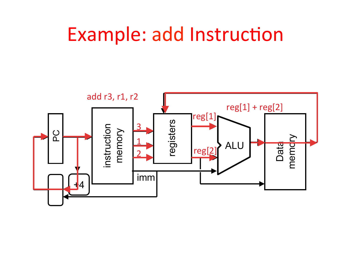#### Example: add Instruction

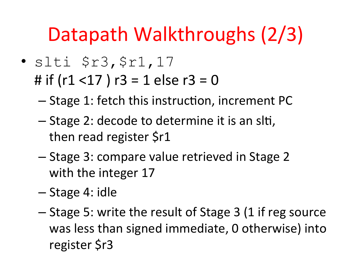## Datapath Walkthroughs (2/3)

- slti \$r3,\$r1,17
	- # if  $(r1 < 17)$   $r3 = 1$  else  $r3 = 0$ 
		- $-$  Stage 1: fetch this instruction, increment PC
		- Stage 2: decode to determine it is an slti, then read register \$r1
		- Stage 3: compare value retrieved in Stage 2 with the integer 17
		- Stage 4: idle
		- $-$  Stage 5: write the result of Stage 3 (1 if reg source was less than signed immediate, 0 otherwise) into register \$r3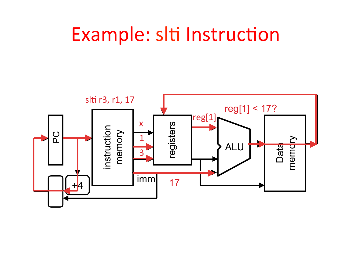#### Example: slti Instruction

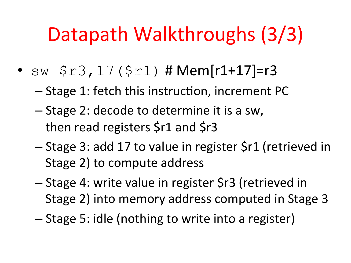## Datapath Walkthroughs (3/3)

- $sw$   $$r3, 17 ($r1)$  # Mem[r1+17]=r3
	- Stage 1: fetch this instruction, increment PC
	- $-$  Stage 2: decode to determine it is a sw, then read registers  $$r1$  and  $$r3$
	- Stage 3: add 17 to value in register \$r1 (retrieved in Stage 2) to compute address
	- Stage 4: write value in register \$r3 (retrieved in Stage 2) into memory address computed in Stage 3
	- Stage 5: idle (nothing to write into a register)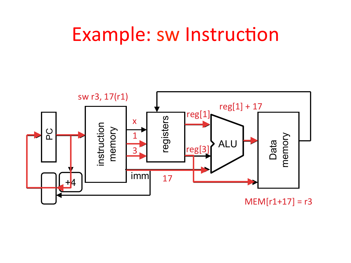#### Example: sw Instruction

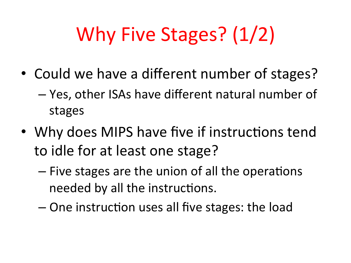# Why Five Stages? (1/2)

- Could we have a different number of stages?
	- $-$  Yes, other ISAs have different natural number of stages
- Why does MIPS have five if instructions tend to idle for at least one stage?
	- $-$  Five stages are the union of all the operations needed by all the instructions.
	- One instruction uses all five stages: the load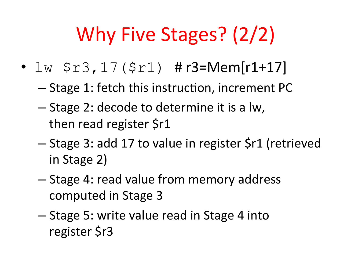# Why Five Stages? (2/2)

- $lw$   $$r3,17($r1)$  #  $r3=Mem[r1+17]$ 
	- Stage 1: fetch this instruction, increment PC
	- $-$  Stage 2: decode to determine it is a lw, then read register \$r1
	- Stage 3: add 17 to value in register \$r1 (retrieved in Stage 2)
	- $-$  Stage 4: read value from memory address computed in Stage 3
	- Stage 5: write value read in Stage 4 into register \$r3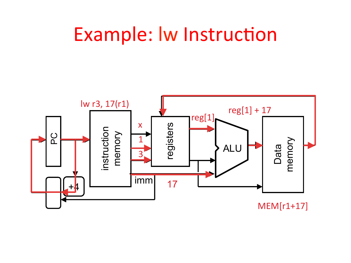#### Example: Iw Instruction

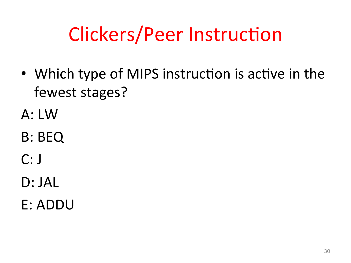# Clickers/Peer Instruction

- Which type of MIPS instruction is active in the fewest stages?
- A: LW
- B: BEQ
- $C: J$
- D: JAL
- E: ADDU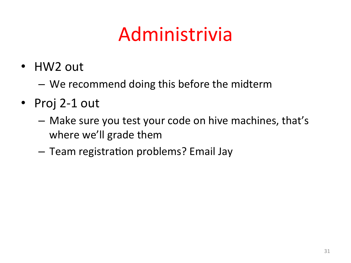# Administrivia

- HW2 out
	- We recommend doing this before the midterm
- Proj 2-1 out
	- Make sure you test your code on hive machines, that's where we'll grade them
	- Team registration problems? Email Jay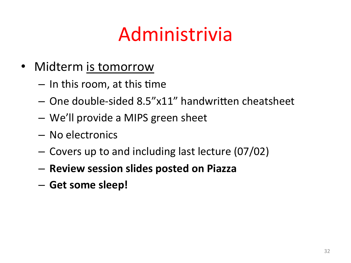## Administrivia

- Midterm is tomorrow
	- $-$  In this room, at this time
	- $-$  One double-sided 8.5"x11" handwritten cheatsheet
	- $-$  We'll provide a MIPS green sheet
	- No electronics
	- $-$  Covers up to and including last lecture (07/02)
	- **Review session slides posted on Piazza**
	- $-$  Get some sleep!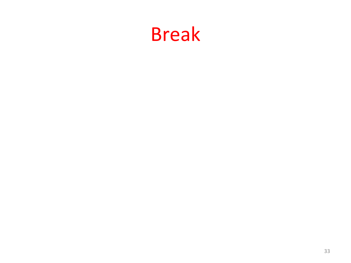#### Break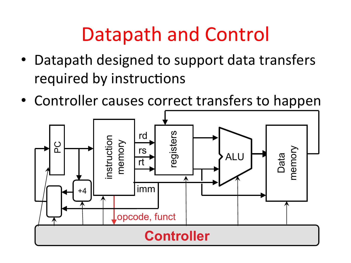## Datapath and Control

- Datapath designed to support data transfers required by instructions
- Controller causes correct transfers to happen

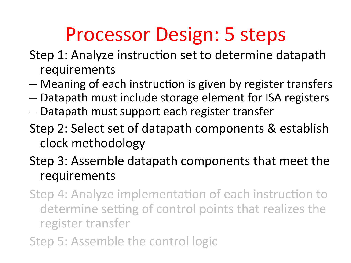## Processor Design: 5 steps

- Step 1: Analyze instruction set to determine datapath requirements
- $-$  Meaning of each instruction is given by register transfers
- $-$  Datapath must include storage element for ISA registers
- $-$  Datapath must support each register transfer
- Step 2: Select set of datapath components & establish clock methodology
- Step 3: Assemble datapath components that meet the requirements
- Step 4: Analyze implementation of each instruction to determine setting of control points that realizes the register transfer
- Step 5: Assemble the control logic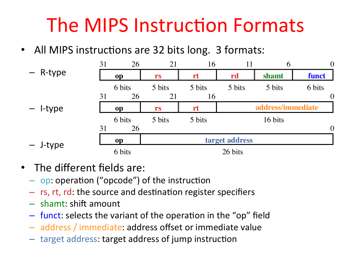## The MIPS Instruction Formats

• All MIPS instructions are 32 bits long. 3 formats:

|            | 31 | 26        | 21      | 16     | 11             | 6                 | $\theta$       |  |
|------------|----|-----------|---------|--------|----------------|-------------------|----------------|--|
| - R-type   |    | op        | rs      | rt     | rd             | shamt             | funct          |  |
|            |    | 6 bits    | 5 bits  | 5 bits | 5 bits         | 5 bits            | 6 bits         |  |
|            | 31 | 26        | 21      | 16     |                |                   | $\theta$       |  |
| $-$ l-type |    | op        | rs      | rt     |                | address/immediate |                |  |
|            |    | 6 bits    | 5 bits  | 5 bits |                | 16 bits           |                |  |
|            | 31 | 26        |         |        |                |                   | $\overline{0}$ |  |
| - J-type   |    | <b>op</b> |         |        | target address |                   |                |  |
|            |    | 6 bits    | 26 bits |        |                |                   |                |  |

- $\bullet$  The different fields are:
	- $-$  op: operation ("opcode") of the instruction
	- $-$  rs, rt, rd: the source and destination register specifiers
	- $-$  shamt: shift amount
	- $-$  funct: selects the variant of the operation in the "op" field
	- $-$  address / immediate: address offset or immediate value
	- $-$  target address: target address of jump instruction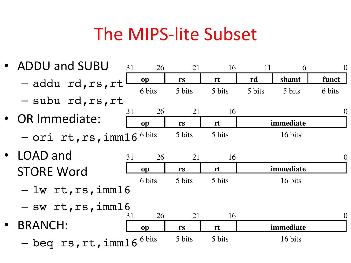#### The MIPS-lite Subset

• ADDU and SUBU – addu rd,rs,rt – subu rd,rs,rt • OR Immediate:  $-$  Ori rt,rs,imm16<sup>6 bits</sup> 5 bits 5 bits 16 bits LOAD and **STORE Word** – lw rt,rs,imm16  $-$  sw rt,rs,imm16 • BRANCH: – beq rs,rt,imm16 **op rs rt rd shamt funct** 31 26 21 16 11 6 0 6 bits 5 bits 5 bits 5 bits 5 bits 6 bits **op rs rt immediate** 31 26 21 16 0 **op rs rt immediate** 31 26 21 16 0 6 bits 5 bits 5 bits 16 bits **op rs rt immediate** 31 26 21 16 0 6 bits 5 bits 5 bits 16 bits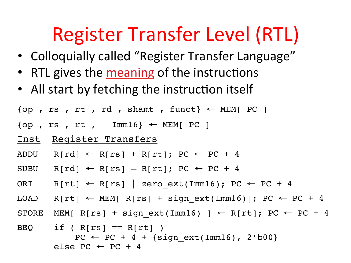## Register Transfer Level (RTL)

- Colloquially called "Register Transfer Language"
- RTL gives the meaning of the instructions
- All start by fetching the instruction itself

```
\{op, rs, rt, rd, shamt, funct\} \leftarrow \text{MEM}[PC]
```
- $\{op, rs, rt, Imm16\} \leftarrow MEM[PC]$
- Inst Register Transfers
- ADDU R[rd]  $\leftarrow$  R[rs] + R[rt]; PC  $\leftarrow$  PC + 4
- SUBU  $R[rd] \leftarrow R[rs] R[rt]$ ; PC  $\leftarrow$  PC + 4
- ORI R[rt]  $\leftarrow$  R[rs] | zero ext(Imm16); PC  $\leftarrow$  PC + 4
- LOAD R[rt] ← MEM[ R[rs] + sign ext(Imm16)]; PC ← PC + 4
- STORE MEM[ R[rs] + sign ext(Imm16) ] ← R[rt]; PC ← PC + 4

```
BEQ if (R[rs] == R[rt])
            PC \leftarrow PC + 4 + {sign ext(Imm16)}, 2'b00}
        else PC \leftarrow PC + 4
```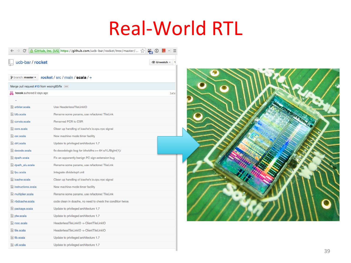## Real-World RTL

|                                         | GitHub, Inc. [US] https://github.com/ucb-bar/rocket/tree/master/ < |      |  |  |  |
|-----------------------------------------|--------------------------------------------------------------------|------|--|--|--|
| ucb-bar / rocket<br><b> Inwatch</b> ▼   |                                                                    |      |  |  |  |
| $\mathcal V$ branch: master $\star$     | rocket / src / main / scala / $+$                                  |      |  |  |  |
| Merge pull request #10 from wsong83/fix |                                                                    |      |  |  |  |
| hcook authored 2 days ago               |                                                                    | late |  |  |  |
|                                         |                                                                    |      |  |  |  |
| arbiter.scala                           | Use HeaderlessTileLinkIO                                           |      |  |  |  |
| $\equiv$ btb.scala                      | Rename some params, use refactored TileLink                        |      |  |  |  |
| $\equiv$ consts.scala                   | <b>Renamed PCR to CSR</b>                                          |      |  |  |  |
| e core.scala                            | Clean up handling of icache's io.cpu.npc signal                    |      |  |  |  |
| $\mathsf{R}$ csr.scala                  | New machine-mode timer facility                                    |      |  |  |  |
| $\equiv$ ctrl.scala                     | Update to privileged architecture 1.7                              |      |  |  |  |
| el decode.scala                         | fix decodelogic bug for bitwidths $>= 64$ s/1L/BigInt(1)/          |      |  |  |  |
| $\equiv$ dpath.scala                    | Fix an apparently benign PC sign-extension bug                     |      |  |  |  |
| dpath_alu.scala                         | Rename some params, use refactored TileLink                        |      |  |  |  |
| $\equiv$ fpu.scala                      | Integrate divide/sqrt unit                                         |      |  |  |  |
| $\equiv$ icache.scala                   | Clean up handling of icache's io.cpu.npc signal                    |      |  |  |  |
| instructions.scala                      | New machine-mode timer facility                                    |      |  |  |  |
| multiplier.scala                        | Rename some params, use refactored TileLink                        |      |  |  |  |
| $\equiv$ nbdcache.scala                 | code clean in dcache, no need to check the condition twice.        |      |  |  |  |
| package.scala                           | Update to privileged architecture 1.7                              |      |  |  |  |
| <b>■</b> ptw.scala                      | Update to privileged architecture 1.7                              |      |  |  |  |
| $\equiv$ rocc.scala                     | HeaderlessTileLinkIO -> ClientTileLinkIO                           |      |  |  |  |
| $\equiv$ tile.scala                     | HeaderlessTileLinkIO -> ClientTileLinkIO                           |      |  |  |  |
| $\equiv$ tlb.scala                      | Update to privileged architecture 1.7                              |      |  |  |  |
| $\mathsf{r}$ util.scala                 | Update to privileged architecture 1.7                              |      |  |  |  |
|                                         |                                                                    |      |  |  |  |

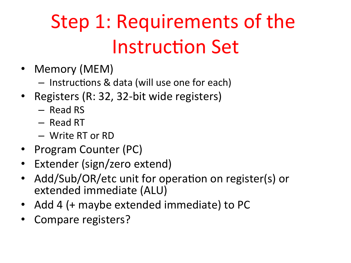# Step 1: Requirements of the **Instruction Set**

- Memory (MEM)
	- $-$  Instructions & data (will use one for each)
- Registers (R: 32, 32-bit wide registers)
	- Read RS
	- Read RT
	- Write RT or RD
- Program Counter (PC)
- Extender (sign/zero extend)
- Add/Sub/OR/etc unit for operation on register(s) or extended immediate (ALU)
- Add 4 (+ maybe extended immediate) to PC
- Compare registers?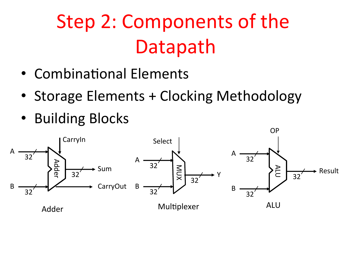# Step 2: Components of the Datapath

- Combinational Elements
- Storage Elements + Clocking Methodology
- Building Blocks

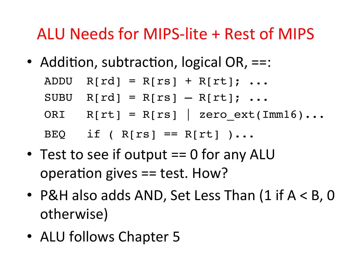#### ALU Needs for MIPS-lite + Rest of MIPS

• Addition, subtraction, logical OR,  $==$ :

| ADDU $R[rd] = R[rs] + R[rt]; $        |
|---------------------------------------|
| SUBU $R[rd] = R[rs] - R[rt]$ ;        |
| ORI $R[rt] = R[rs]$   zero ext(Imm16) |
| BEQ if (R[rs] == $R[rt]$ )            |

- Test to see if output  $== 0$  for any ALU operation gives  $==$  test. How?
- P&H also adds AND, Set Less Than  $(1$  if  $A < B$ , 0 otherwise)
- ALU follows Chapter 5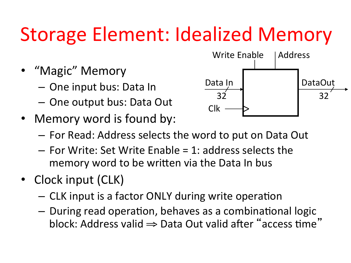# Storage Element: Idealized Memory

- "Magic" Memory
	- $-$  One input bus: Data In
	- $-$  One output bus: Data Out
- Memory word is found by:



- $-$  For Read: Address selects the word to put on Data Out
- $-$  For Write: Set Write Enable = 1: address selects the memory word to be written via the Data In bus
- Clock input (CLK)
	- $-$  CLK input is a factor ONLY during write operation
	- $-$  During read operation, behaves as a combinational logic block: Address valid  $\Rightarrow$  Data Out valid after "access time"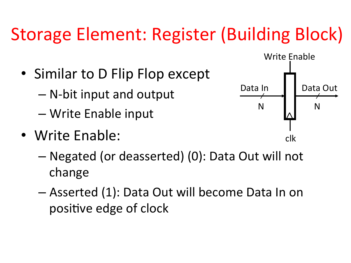#### Storage Element: Register (Building Block)

- Similar to D Flip Flop except
	- $-$  N-bit input and output
	- Write Enable input
- Write Enable:



- Negated (or deasserted) (0): Data Out will not change
- $-$  Asserted (1): Data Out will become Data In on positive edge of clock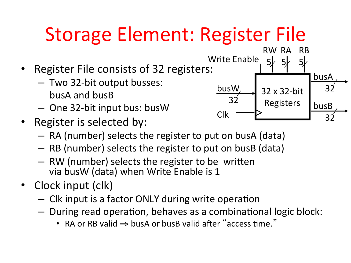# Storage Element: Register File

- Register File consists of 32 registers:
	- $-$  Two 32-bit output busses: busA and busB
	- $-$  One 32-bit input bus: busW
- Register is selected by:
	- $-$  RA (number) selects the register to put on busA (data)
	- $-$  RB (number) selects the register to put on busB (data)
	- $-$  RW (number) selects the register to be written via busW (data) when Write Enable is 1
- Clock input (clk)
	- $-$  Clk input is a factor ONLY during write operation
	- $-$  During read operation, behaves as a combinational logic block:
		- RA or RB valid  $\Rightarrow$  busA or busB valid after "access time."

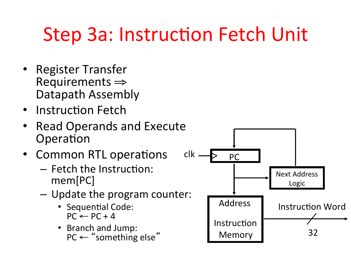## Step 3a: Instruction Fetch Unit

- Register Transfer<br>  $\epsilon \Rightarrow$  Requirements Datapath Assembly
- Instruction Fetch
- Read Operands and Execute Operation
- Common RTL operations
	- $-$  Fetch the Instruction: mem[PC]
	- $-$  Update the program counter:
		- Sequential Code:  $PC \leftarrow PC + 4$
		- Branch and Jump:

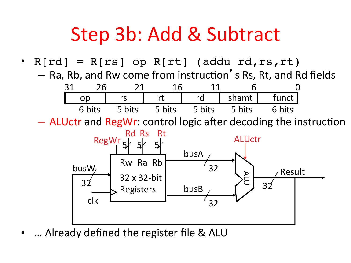#### Step 3b: Add & Subtract

•  $R[rd] = R[rs]$  op  $R[rt]$  (addu rd, rs, rt)  $-$  Ra, Rb, and Rw come from instruction's Rs, Rt, and Rd fields



– ALUctr and RegWr: control logic after decoding the instruction



... Already defined the register file & ALU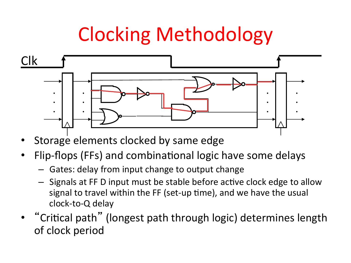## Clocking Methodology



- Storage elements clocked by same edge
- Flip-flops (FFs) and combinational logic have some delays
	- $-$  Gates: delay from input change to output change
	- $-$  Signals at FF D input must be stable before active clock edge to allow signal to travel within the FF (set-up time), and we have the usual clock-to-Q delay
- "Critical path" (longest path through logic) determines length of clock period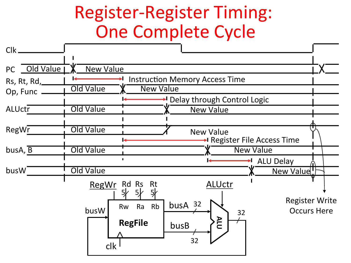#### Register-Register Timing: **One Complete Cycle**

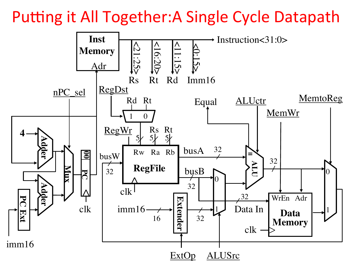Putting it All Together: A Single Cycle Datapath

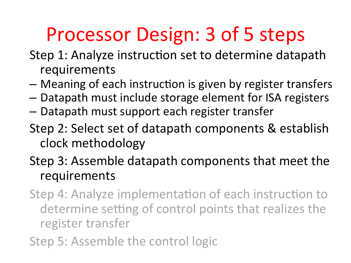## Processor Design: 3 of 5 steps

- Step 1: Analyze instruction set to determine datapath requirements
- $-$  Meaning of each instruction is given by register transfers
- $-$  Datapath must include storage element for ISA registers
- $-$  Datapath must support each register transfer
- Step 2: Select set of datapath components & establish clock methodology
- Step 3: Assemble datapath components that meet the requirements
- Step 4: Analyze implementation of each instruction to determine setting of control points that realizes the register transfer
- Step 5: Assemble the control logic